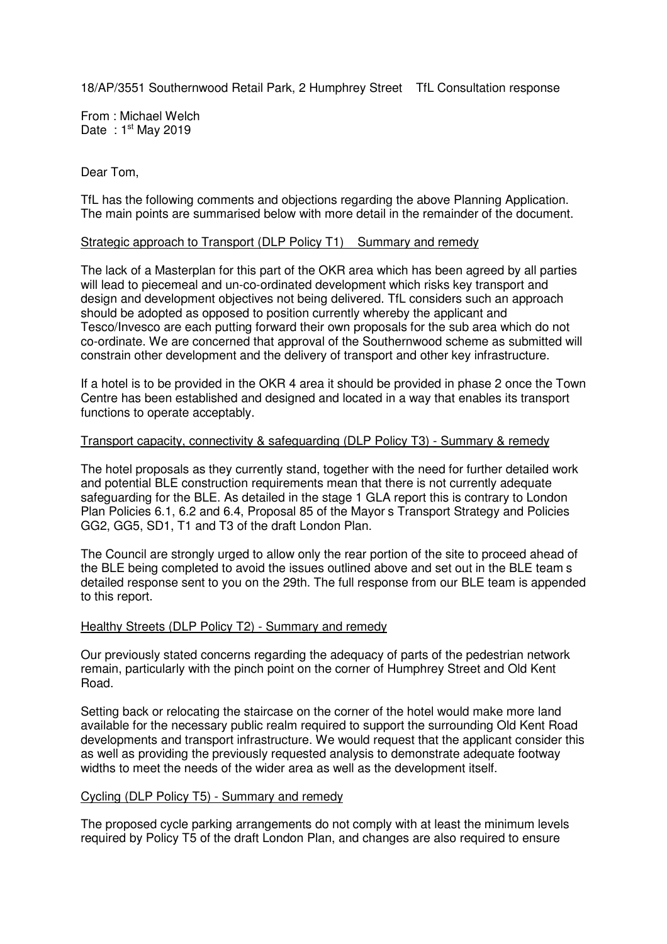18/AP/3551 Southernwood Retail Park, 2 Humphrey Street I TfL Consultation response

From : Michael Welch Date:  $1<sup>st</sup>$  May 2019

Dear Tom,

TfL has the following comments and objections regarding the above Planning Application. The main points are summarised below with more detail in the remainder of the document.

#### Strategic approach to Transport (DLP Policy T1) I Summary and remedy

The lack of a Masterplan for this part of the OKR area which has been agreed by all parties will lead to piecemeal and un-co-ordinated development which risks key transport and design and development objectives not being delivered. TfL considers such an approach should be adopted as opposed to position currently whereby the applicant and Tesco/Invesco are each putting forward their own proposals for the sub area which do not co-ordinate. We are concerned that approval of the Southernwood scheme as submitted will constrain other development and the delivery of transport and other key infrastructure.

If a hotel is to be provided in the OKR 4 area it should be provided in phase 2 once the Town Centre has been established and designed and located in a way that enables its transport functions to operate acceptably.

### Transport capacity, connectivity & safeguarding (DLP Policy T3) - Summary & remedy

The hotel proposals as they currently stand, together with the need for further detailed work and potential BLE construction requirements mean that there is not currently adequate safeguarding for the BLE. As detailed in the stage 1 GLA report this is contrary to London Plan Policies 6.1, 6.2 and 6.4, Proposal 85 of the Mayorís Transport Strategy and Policies GG2, GG5, SD1, T1 and T3 of the draft London Plan.

The Council are strongly urged to allow only the rear portion of the site to proceed ahead of the BLE being completed to avoid the issues outlined above and set out in the BLE teamís detailed response sent to you on the 29th. The full response from our BLE team is appended to this report.

#### Healthy Streets (DLP Policy T2) - Summary and remedy

Our previously stated concerns regarding the adequacy of parts of the pedestrian network remain, particularly with the pinch point on the corner of Humphrey Street and Old Kent Road.

Setting back or relocating the staircase on the corner of the hotel would make more land available for the necessary public realm required to support the surrounding Old Kent Road developments and transport infrastructure. We would request that the applicant consider this as well as providing the previously requested analysis to demonstrate adequate footway widths to meet the needs of the wider area as well as the development itself.

#### Cycling (DLP Policy T5) - Summary and remedy

The proposed cycle parking arrangements do not comply with at least the minimum levels required by Policy T5 of the draft London Plan, and changes are also required to ensure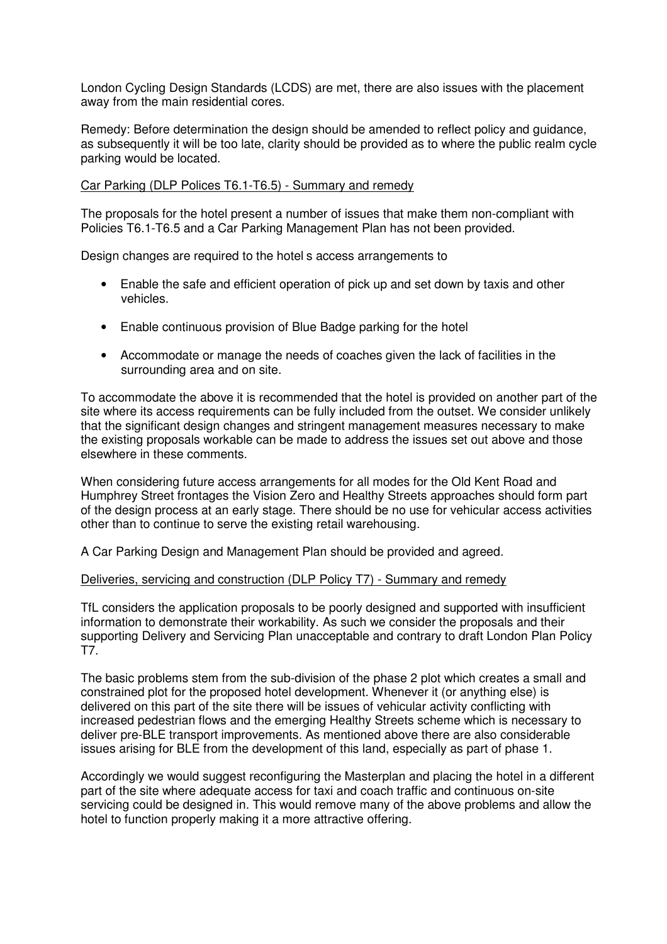London Cycling Design Standards (LCDS) are met, there are also issues with the placement away from the main residential cores.

Remedy: Before determination the design should be amended to reflect policy and guidance, as subsequently it will be too late, clarity should be provided as to where the public realm cycle parking would be located.

### Car Parking (DLP Polices T6.1-T6.5) - Summary and remedy

The proposals for the hotel present a number of issues that make them non-compliant with Policies T6.1-T6.5 and a Car Parking Management Plan has not been provided.

Design changes are required to the hotelís access arrangements to

- Enable the safe and efficient operation of pick up and set down by taxis and other vehicles.
- Enable continuous provision of Blue Badge parking for the hotel
- Accommodate or manage the needs of coaches given the lack of facilities in the surrounding area and on site.

To accommodate the above it is recommended that the hotel is provided on another part of the site where its access requirements can be fully included from the outset. We consider unlikely that the significant design changes and stringent management measures necessary to make the existing proposals workable can be made to address the issues set out above and those elsewhere in these comments.

When considering future access arrangements for all modes for the Old Kent Road and Humphrey Street frontages the Vision Zero and Healthy Streets approaches should form part of the design process at an early stage. There should be no use for vehicular access activities other than to continue to serve the existing retail warehousing.

A Car Parking Design and Management Plan should be provided and agreed.

#### Deliveries, servicing and construction (DLP Policy T7) - Summary and remedy

TfL considers the application proposals to be poorly designed and supported with insufficient information to demonstrate their workability. As such we consider the proposals and their supporting Delivery and Servicing Plan unacceptable and contrary to draft London Plan Policy T7.

The basic problems stem from the sub-division of the phase 2 plot which creates a small and constrained plot for the proposed hotel development. Whenever it (or anything else) is delivered on this part of the site there will be issues of vehicular activity conflicting with increased pedestrian flows and the emerging Healthy Streets scheme which is necessary to deliver pre-BLE transport improvements. As mentioned above there are also considerable issues arising for BLE from the development of this land, especially as part of phase 1.

Accordingly we would suggest reconfiguring the Masterplan and placing the hotel in a different part of the site where adequate access for taxi and coach traffic and continuous on-site servicing could be designed in. This would remove many of the above problems and allow the hotel to function properly making it a more attractive offering.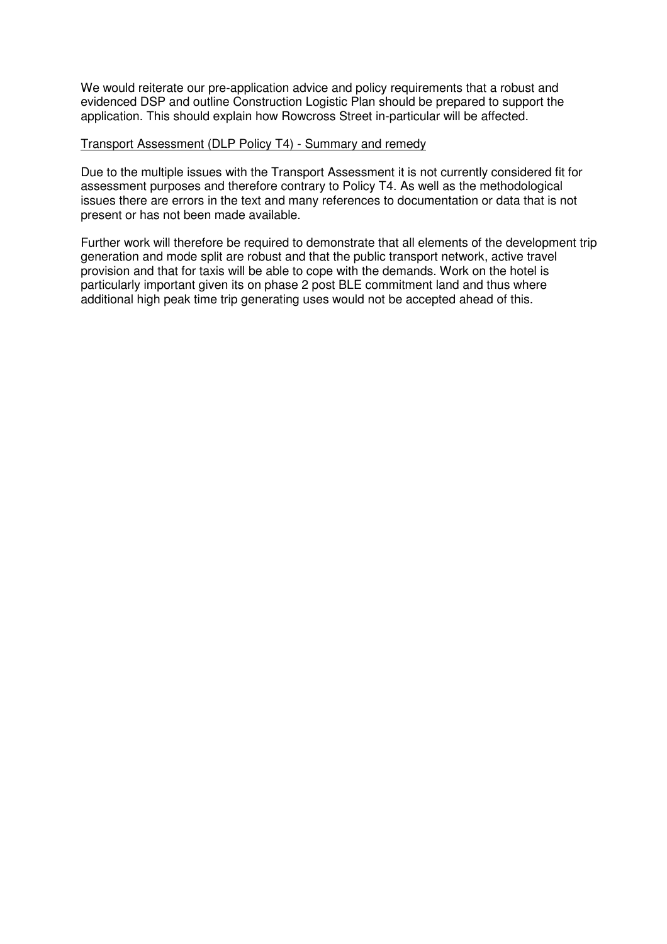We would reiterate our pre-application advice and policy requirements that a robust and evidenced DSP and outline Construction Logistic Plan should be prepared to support the application. This should explain how Rowcross Street in-particular will be affected.

### Transport Assessment (DLP Policy T4) - Summary and remedy

Due to the multiple issues with the Transport Assessment it is not currently considered fit for assessment purposes and therefore contrary to Policy T4. As well as the methodological issues there are errors in the text and many references to documentation or data that is not present or has not been made available.

Further work will therefore be required to demonstrate that all elements of the development trip generation and mode split are robust and that the public transport network, active travel provision and that for taxis will be able to cope with the demands. Work on the hotel is particularly important given its on phase 2 post BLE commitment land and thus where additional high peak time trip generating uses would not be accepted ahead of this.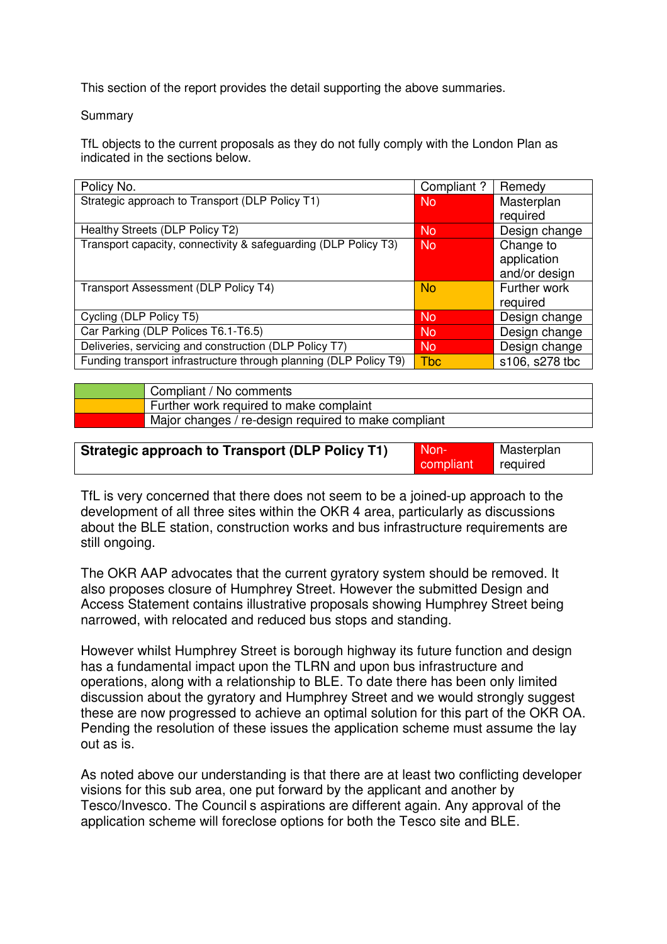This section of the report provides the detail supporting the above summaries.

### Summary

TfL objects to the current proposals as they do not fully comply with the London Plan as indicated in the sections below.

| Policy No.                                                        | Compliant? | Remedy         |
|-------------------------------------------------------------------|------------|----------------|
| Strategic approach to Transport (DLP Policy T1)                   | <b>No</b>  | Masterplan     |
|                                                                   |            | required       |
| Healthy Streets (DLP Policy T2)                                   | <b>No</b>  | Design change  |
| Transport capacity, connectivity & safeguarding (DLP Policy T3)   | <b>No</b>  | Change to      |
|                                                                   |            | application    |
|                                                                   |            | and/or design  |
| Transport Assessment (DLP Policy T4)                              | <b>No</b>  | Further work   |
|                                                                   |            | required       |
| Cycling (DLP Policy T5)                                           | <b>No</b>  | Design change  |
| Car Parking (DLP Polices T6.1-T6.5)                               | <b>No</b>  | Design change  |
| Deliveries, servicing and construction (DLP Policy T7)            | <b>No</b>  | Design change  |
| Funding transport infrastructure through planning (DLP Policy T9) | <b>Tbc</b> | s106, s278 tbc |

| Compliant / No comments                              |
|------------------------------------------------------|
| Further work required to make complaint              |
| Major changes / re-design required to make compliant |

| <b>Strategic approach to Transport (DLP Policy T1)</b> | Non-      | Masterplan |
|--------------------------------------------------------|-----------|------------|
|                                                        | compliant | required   |

TfL is very concerned that there does not seem to be a joined-up approach to the development of all three sites within the OKR 4 area, particularly as discussions about the BLE station, construction works and bus infrastructure requirements are still ongoing.

The OKR AAP advocates that the current gyratory system should be removed. It also proposes closure of Humphrey Street. However the submitted Design and Access Statement contains illustrative proposals showing Humphrey Street being narrowed, with relocated and reduced bus stops and standing.

However whilst Humphrey Street is borough highway its future function and design has a fundamental impact upon the TLRN and upon bus infrastructure and operations, along with a relationship to BLE. To date there has been only limited discussion about the gyratory and Humphrey Street and we would strongly suggest these are now progressed to achieve an optimal solution for this part of the OKR OA. Pending the resolution of these issues the application scheme must assume the lay out as is.

As noted above our understanding is that there are at least two conflicting developer visions for this sub area, one put forward by the applicant and another by Tesco/Invesco. The Councilís aspirations are different again. Any approval of the application scheme will foreclose options for both the Tesco site and BLE.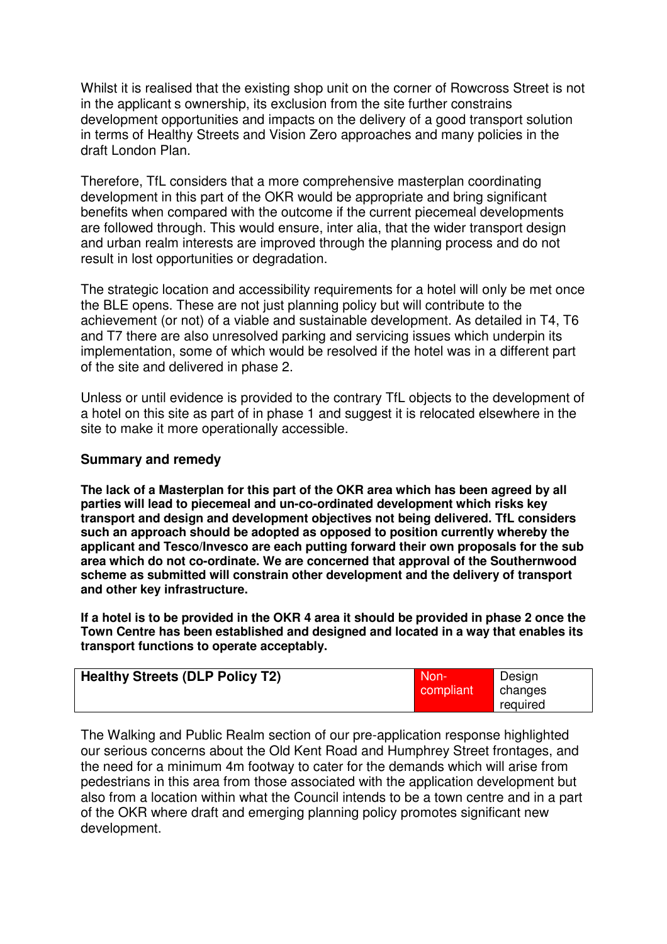Whilst it is realised that the existing shop unit on the corner of Rowcross Street is not in the applicantís ownership, its exclusion from the site further constrains development opportunities and impacts on the delivery of a good transport solution in terms of Healthy Streets and Vision Zero approaches and many policies in the draft London Plan.

Therefore, TfL considers that a more comprehensive masterplan coordinating development in this part of the OKR would be appropriate and bring significant benefits when compared with the outcome if the current piecemeal developments are followed through. This would ensure, inter alia, that the wider transport design and urban realm interests are improved through the planning process and do not result in lost opportunities or degradation.

The strategic location and accessibility requirements for a hotel will only be met once the BLE opens. These are not just planning policy but will contribute to the achievement (or not) of a viable and sustainable development. As detailed in T4, T6 and T7 there are also unresolved parking and servicing issues which underpin its implementation, some of which would be resolved if the hotel was in a different part of the site and delivered in phase 2.

Unless or until evidence is provided to the contrary TfL objects to the development of a hotel on this site as part of in phase 1 and suggest it is relocated elsewhere in the site to make it more operationally accessible.

# **Summary and remedy**

**The lack of a Masterplan for this part of the OKR area which has been agreed by all parties will lead to piecemeal and un-co-ordinated development which risks key transport and design and development objectives not being delivered. TfL considers such an approach should be adopted as opposed to position currently whereby the applicant and Tesco/Invesco are each putting forward their own proposals for the sub area which do not co-ordinate. We are concerned that approval of the Southernwood scheme as submitted will constrain other development and the delivery of transport and other key infrastructure.** 

**If a hotel is to be provided in the OKR 4 area it should be provided in phase 2 once the Town Centre has been established and designed and located in a way that enables its transport functions to operate acceptably.** 

| <b>Healthy Streets (DLP Policy T2)</b> | Non-<br>compliant | Design<br>changes |
|----------------------------------------|-------------------|-------------------|
|                                        |                   | required          |

The Walking and Public Realm section of our pre-application response highlighted our serious concerns about the Old Kent Road and Humphrey Street frontages, and the need for a minimum 4m footway to cater for the demands which will arise from pedestrians in this area from those associated with the application development but also from a location within what the Council intends to be a town centre and in a part of the OKR where draft and emerging planning policy promotes significant new development.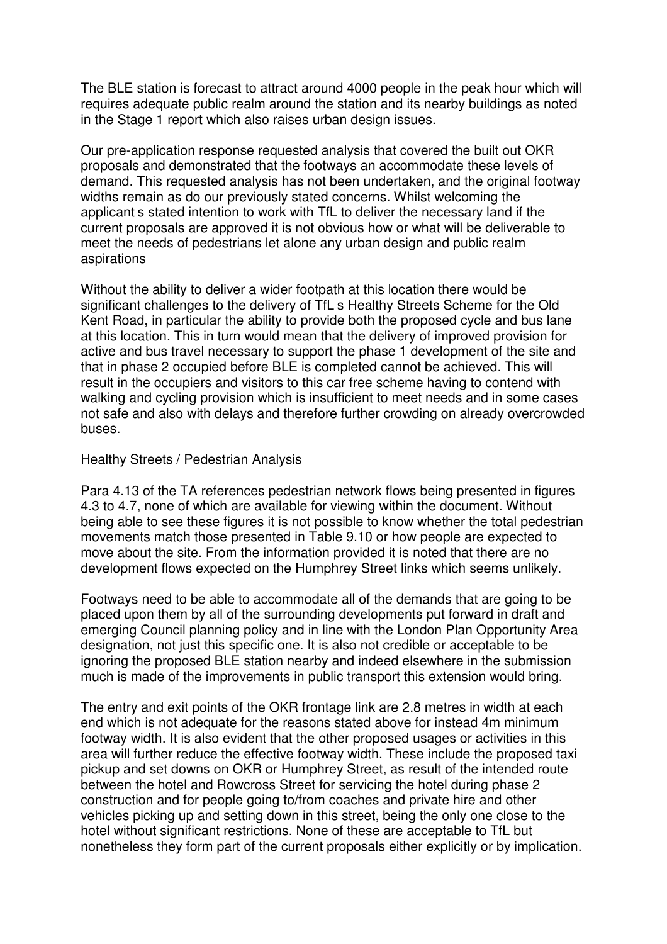The BLE station is forecast to attract around 4000 people in the peak hour which will requires adequate public realm around the station and its nearby buildings as noted in the Stage 1 report which also raises urban design issues.

Our pre-application response requested analysis that covered the built out OKR proposals and demonstrated that the footways an accommodate these levels of demand. This requested analysis has not been undertaken, and the original footway widths remain as do our previously stated concerns. Whilst welcoming the applicantís stated intention to work with TfL to deliver the necessary land if the current proposals are approved it is not obvious how or what will be deliverable to meet the needs of pedestrians let alone any urban design and public realm aspirations

Without the ability to deliver a wider footpath at this location there would be significant challenges to the delivery of TfLís Healthy Streets Scheme for the Old Kent Road, in particular the ability to provide both the proposed cycle and bus lane at this location. This in turn would mean that the delivery of improved provision for active and bus travel necessary to support the phase 1 development of the site and that in phase 2 occupied before BLE is completed cannot be achieved. This will result in the occupiers and visitors to this car free scheme having to contend with walking and cycling provision which is insufficient to meet needs and in some cases not safe and also with delays and therefore further crowding on already overcrowded buses.

### Healthy Streets / Pedestrian Analysis

Para 4.13 of the TA references pedestrian network flows being presented in figures 4.3 to 4.7, none of which are available for viewing within the document. Without being able to see these figures it is not possible to know whether the total pedestrian movements match those presented in Table 9.10 or how people are expected to move about the site. From the information provided it is noted that there are no development flows expected on the Humphrey Street links which seems unlikely.

Footways need to be able to accommodate all of the demands that are going to be placed upon them by all of the surrounding developments put forward in draft and emerging Council planning policy and in line with the London Plan Opportunity Area designation, not just this specific one. It is also not credible or acceptable to be ignoring the proposed BLE station nearby and indeed elsewhere in the submission much is made of the improvements in public transport this extension would bring.

The entry and exit points of the OKR frontage link are 2.8 metres in width at each end which is not adequate for the reasons stated above for instead 4m minimum footway width. It is also evident that the other proposed usages or activities in this area will further reduce the effective footway width. These include the proposed taxi pickup and set downs on OKR or Humphrey Street, as result of the intended route between the hotel and Rowcross Street for servicing the hotel during phase 2 construction and for people going to/from coaches and private hire and other vehicles picking up and setting down in this street, being the only one close to the hotel without significant restrictions. None of these are acceptable to TfL but nonetheless they form part of the current proposals either explicitly or by implication.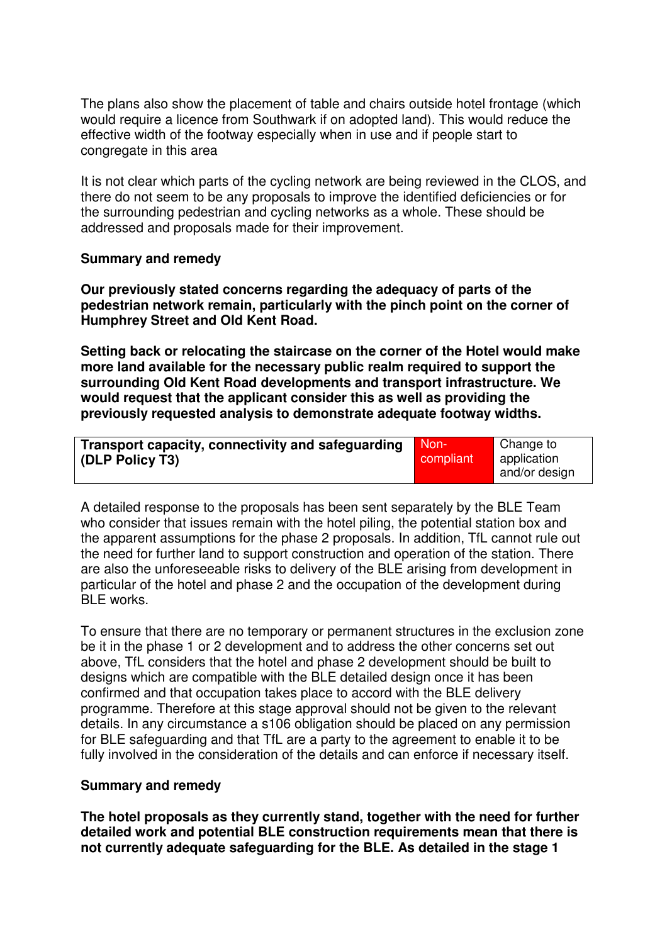The plans also show the placement of table and chairs outside hotel frontage (which would require a licence from Southwark if on adopted land). This would reduce the effective width of the footway especially when in use and if people start to congregate in this area

It is not clear which parts of the cycling network are being reviewed in the CLOS, and there do not seem to be any proposals to improve the identified deficiencies or for the surrounding pedestrian and cycling networks as a whole. These should be addressed and proposals made for their improvement.

# **Summary and remedy**

**Our previously stated concerns regarding the adequacy of parts of the pedestrian network remain, particularly with the pinch point on the corner of Humphrey Street and Old Kent Road.** 

**Setting back or relocating the staircase on the corner of the Hotel would make more land available for the necessary public realm required to support the surrounding Old Kent Road developments and transport infrastructure. We would request that the applicant consider this as well as providing the previously requested analysis to demonstrate adequate footway widths.** 

| Transport capacity, connectivity and safeguarding | ' Non-.   | Change to     |
|---------------------------------------------------|-----------|---------------|
| (DLP Policy T3)                                   | compliant | ' application |
|                                                   |           | and/or design |

A detailed response to the proposals has been sent separately by the BLE Team who consider that issues remain with the hotel piling, the potential station box and the apparent assumptions for the phase 2 proposals. In addition, TfL cannot rule out the need for further land to support construction and operation of the station. There are also the unforeseeable risks to delivery of the BLE arising from development in particular of the hotel and phase 2 and the occupation of the development during BLE works.

To ensure that there are no temporary or permanent structures in the exclusion zone be it in the phase 1 or 2 development and to address the other concerns set out above, TfL considers that the hotel and phase 2 development should be built to designs which are compatible with the BLE detailed design once it has been confirmed and that occupation takes place to accord with the BLE delivery programme. Therefore at this stage approval should not be given to the relevant details. In any circumstance a s106 obligation should be placed on any permission for BLE safeguarding and that TfL are a party to the agreement to enable it to be fully involved in the consideration of the details and can enforce if necessary itself.

# **Summary and remedy**

**The hotel proposals as they currently stand, together with the need for further detailed work and potential BLE construction requirements mean that there is not currently adequate safeguarding for the BLE. As detailed in the stage 1**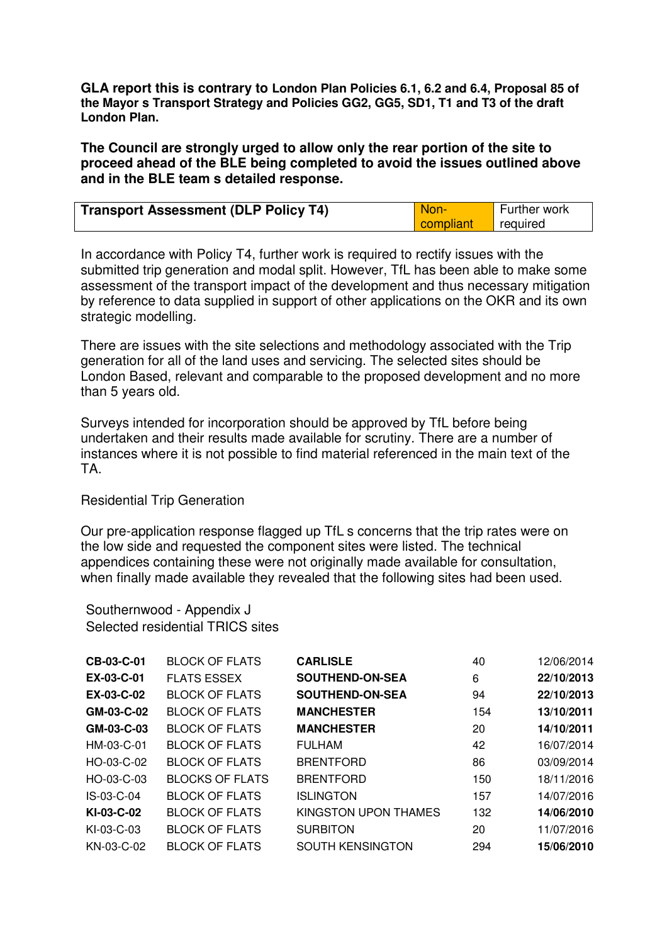**GLA report this is contrary to London Plan Policies 6.1, 6.2 and 6.4, Proposal 85 of the Mayorís Transport Strategy and Policies GG2, GG5, SD1, T1 and T3 of the draft London Plan.**

**The Council are strongly urged to allow only the rear portion of the site to proceed ahead of the BLE being completed to avoid the issues outlined above and in the BLE teamís detailed response.** 

| <b>Transport Assessment (DLP Policy T4)</b> | Non-      | Further work |
|---------------------------------------------|-----------|--------------|
|                                             | compliant | required     |

In accordance with Policy T4, further work is required to rectify issues with the submitted trip generation and modal split. However, TfL has been able to make some assessment of the transport impact of the development and thus necessary mitigation by reference to data supplied in support of other applications on the OKR and its own strategic modelling.

There are issues with the site selections and methodology associated with the Trip generation for all of the land uses and servicing. The selected sites should be London Based, relevant and comparable to the proposed development and no more than 5 years old.

Surveys intended for incorporation should be approved by TfL before being undertaken and their results made available for scrutiny. There are a number of instances where it is not possible to find material referenced in the main text of the TA.

Residential Trip Generation

Our pre-application response flagged up TfLís concerns that the trip rates were on the low side and requested the component sites were listed. The technical appendices containing these were not originally made available for consultation, when finally made available they revealed that the following sites had been used.

Southernwood - Appendix J Selected residential TRICS sites

| CB-03-C-01   | <b>BLOCK OF FLATS</b>  | <b>CARLISLE</b>         | 40  | 12/06/2014 |
|--------------|------------------------|-------------------------|-----|------------|
| EX-03-C-01   | <b>FLATS ESSEX</b>     | <b>SOUTHEND-ON-SEA</b>  | 6   | 22/10/2013 |
| EX-03-C-02   | <b>BLOCK OF FLATS</b>  | <b>SOUTHEND-ON-SEA</b>  | 94  | 22/10/2013 |
| GM-03-C-02   | <b>BLOCK OF FLATS</b>  | <b>MANCHESTER</b>       | 154 | 13/10/2011 |
| GM-03-C-03   | <b>BLOCK OF FLATS</b>  | <b>MANCHESTER</b>       | 20  | 14/10/2011 |
| HM-03-C-01   | <b>BLOCK OF FLATS</b>  | <b>FULHAM</b>           | 42  | 16/07/2014 |
| HO-03-C-02   | <b>BLOCK OF FLATS</b>  | <b>BRENTFORD</b>        | 86  | 03/09/2014 |
| HO-03-C-03   | <b>BLOCKS OF FLATS</b> | <b>BRENTFORD</b>        | 150 | 18/11/2016 |
| $IS-03-C-04$ | <b>BLOCK OF FLATS</b>  | <b>ISLINGTON</b>        | 157 | 14/07/2016 |
| KI-03-C-02   | <b>BLOCK OF FLATS</b>  | KINGSTON UPON THAMES    | 132 | 14/06/2010 |
| KI-03-C-03   | BLOCK OF FLATS         | <b>SURBITON</b>         | 20  | 11/07/2016 |
| KN-03-C-02   | <b>BLOCK OF FLATS</b>  | <b>SOUTH KENSINGTON</b> | 294 | 15/06/2010 |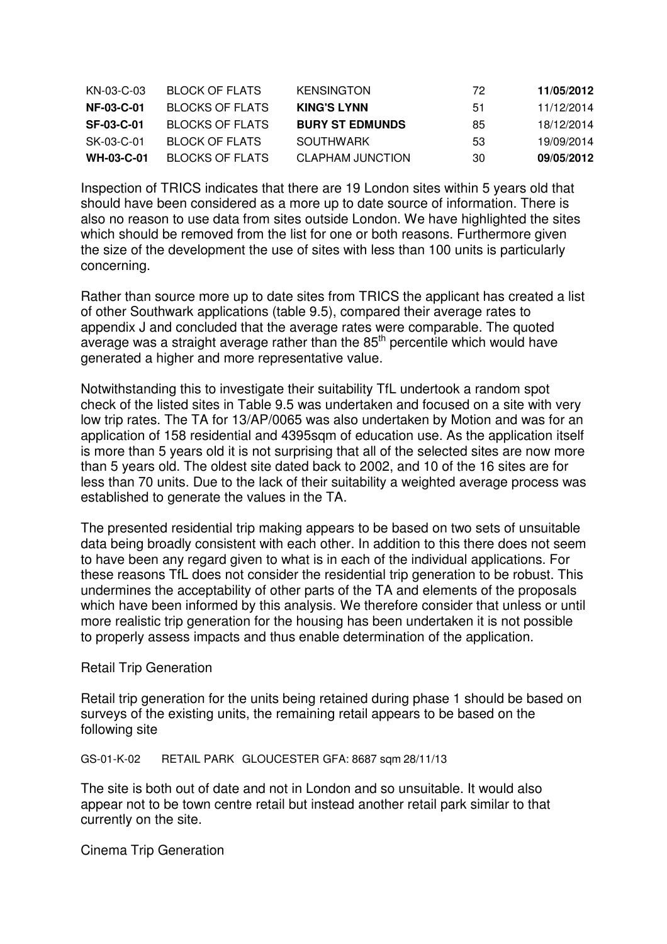| KN-03-C-03        | BLOCK OF FLATS  | <b>KENSINGTON</b>      | 72 | 11/05/2012 |
|-------------------|-----------------|------------------------|----|------------|
| <b>NF-03-C-01</b> | BLOCKS OF FLATS | <b>KING'S LYNN</b>     | 51 | 11/12/2014 |
| <b>SF-03-C-01</b> | BLOCKS OF FLATS | <b>BURY ST EDMUNDS</b> | 85 | 18/12/2014 |
| SK-03-C-01        | BLOCK OF FLATS  | SOUTHWARK              | 53 | 19/09/2014 |
| <b>WH-03-C-01</b> | BLOCKS OF FLATS | CLAPHAM JUNCTION       | 30 | 09/05/2012 |

Inspection of TRICS indicates that there are 19 London sites within 5 years old that should have been considered as a more up to date source of information. There is also no reason to use data from sites outside London. We have highlighted the sites which should be removed from the list for one or both reasons. Furthermore given the size of the development the use of sites with less than 100 units is particularly concerning.

Rather than source more up to date sites from TRICS the applicant has created a list of other Southwark applications (table 9.5), compared their average rates to appendix J and concluded that the average rates were comparable. The quoted  $a$ verage was a straight average rather than the  $85<sup>th</sup>$  percentile which would have generated a higher and more representative value.

Notwithstanding this to investigate their suitability TfL undertook a random spot check of the listed sites in Table 9.5 was undertaken and focused on a site with very low trip rates. The TA for 13/AP/0065 was also undertaken by Motion and was for an application of 158 residential and 4395sqm of education use. As the application itself is more than 5 years old it is not surprising that all of the selected sites are now more than 5 years old. The oldest site dated back to 2002, and 10 of the 16 sites are for less than 70 units. Due to the lack of their suitability a weighted average process was established to generate the values in the TA.

The presented residential trip making appears to be based on two sets of unsuitable data being broadly consistent with each other. In addition to this there does not seem to have been any regard given to what is in each of the individual applications. For these reasons TfL does not consider the residential trip generation to be robust. This undermines the acceptability of other parts of the TA and elements of the proposals which have been informed by this analysis. We therefore consider that unless or until more realistic trip generation for the housing has been undertaken it is not possible to properly assess impacts and thus enable determination of the application.

### Retail Trip Generation

Retail trip generation for the units being retained during phase 1 should be based on surveys of the existing units, the remaining retail appears to be based on the following site

#### GS-01-K-02 RETAIL PARK GLOUCESTER GFA: 8687 sqm 28/11/13

The site is both out of date and not in London and so unsuitable. It would also appear not to be town centre retail but instead another retail park similar to that currently on the site.

Cinema Trip Generation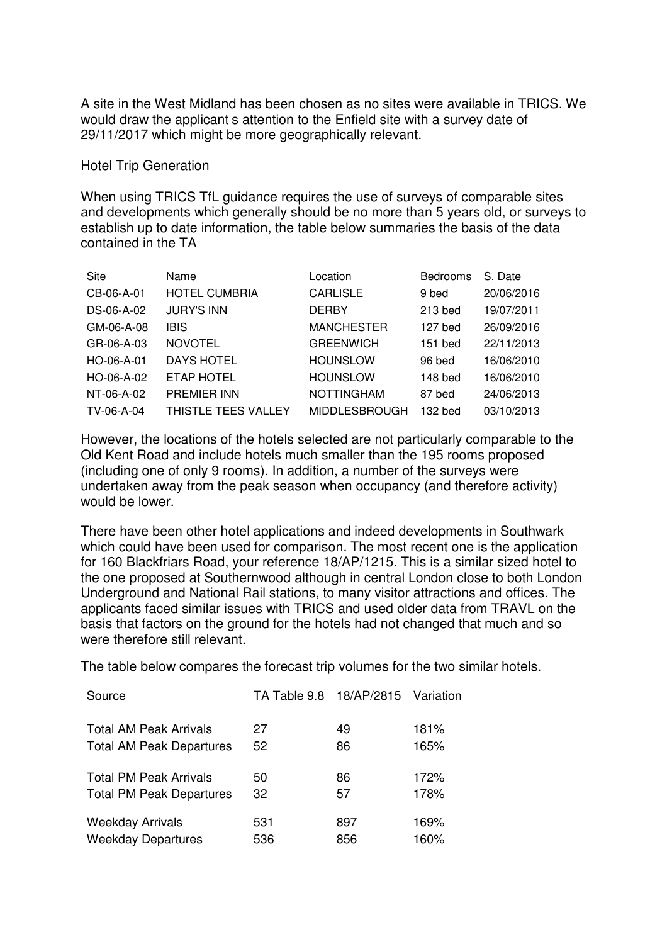A site in the West Midland has been chosen as no sites were available in TRICS. We would draw the applicantís attention to the Enfield site with a survey date of 29/11/2017 which might be more geographically relevant.

### Hotel Trip Generation

When using TRICS TfL guidance requires the use of surveys of comparable sites and developments which generally should be no more than 5 years old, or surveys to establish up to date information, the table below summaries the basis of the data contained in the TA

| Site       | Name                 | Location             | <b>Bedrooms</b> | S. Date    |
|------------|----------------------|----------------------|-----------------|------------|
| CB-06-A-01 | <b>HOTEL CUMBRIA</b> | <b>CARLISLE</b>      | 9 bed           | 20/06/2016 |
| DS-06-A-02 | <b>JURY'S INN</b>    | <b>DERBY</b>         | 213 bed         | 19/07/2011 |
| GM-06-A-08 | <b>IBIS</b>          | <b>MANCHESTER</b>    | 127 bed         | 26/09/2016 |
| GR-06-A-03 | <b>NOVOTEL</b>       | <b>GREENWICH</b>     | 151 bed         | 22/11/2013 |
| HO-06-A-01 | <b>DAYS HOTEL</b>    | <b>HOUNSLOW</b>      | 96 bed          | 16/06/2010 |
| HO-06-A-02 | ETAP HOTEL           | <b>HOUNSLOW</b>      | 148 bed         | 16/06/2010 |
| NT-06-A-02 | PREMIER INN          | <b>NOTTINGHAM</b>    | 87 bed          | 24/06/2013 |
| TV-06-A-04 | THISTLE TEES VALLEY  | <b>MIDDLESBROUGH</b> | 132 bed         | 03/10/2013 |

However, the locations of the hotels selected are not particularly comparable to the Old Kent Road and include hotels much smaller than the 195 rooms proposed (including one of only 9 rooms). In addition, a number of the surveys were undertaken away from the peak season when occupancy (and therefore activity) would be lower.

There have been other hotel applications and indeed developments in Southwark which could have been used for comparison. The most recent one is the application for 160 Blackfriars Road, your reference 18/AP/1215. This is a similar sized hotel to the one proposed at Southernwood although in central London close to both London Underground and National Rail stations, to many visitor attractions and offices. The applicants faced similar issues with TRICS and used older data from TRAVL on the basis that factors on the ground for the hotels had not changed that much and so were therefore still relevant.

The table below compares the forecast trip volumes for the two similar hotels.

| Source                          | TA Table 9.8 18/AP/2815 Variation |     |      |
|---------------------------------|-----------------------------------|-----|------|
| <b>Total AM Peak Arrivals</b>   | 27                                | 49  | 181% |
| <b>Total AM Peak Departures</b> | 52                                | 86  | 165% |
| <b>Total PM Peak Arrivals</b>   | 50                                | 86  | 172% |
| <b>Total PM Peak Departures</b> | 32                                | 57  | 178% |
| <b>Weekday Arrivals</b>         | 531                               | 897 | 169% |
| <b>Weekday Departures</b>       | 536                               | 856 | 160% |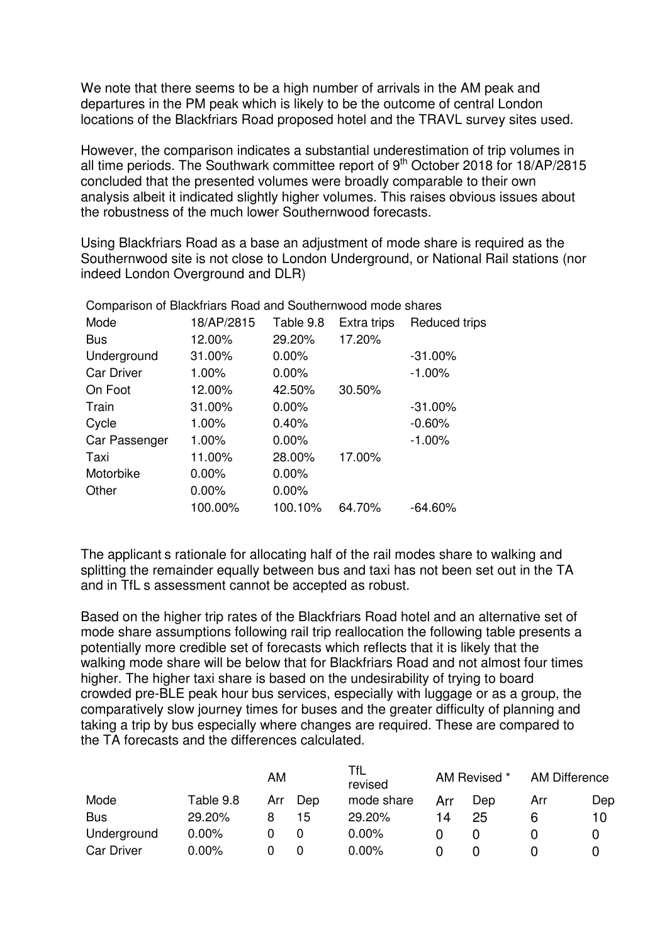We note that there seems to be a high number of arrivals in the AM peak and departures in the PM peak which is likely to be the outcome of central London locations of the Blackfriars Road proposed hotel and the TRAVL survey sites used.

However, the comparison indicates a substantial underestimation of trip volumes in all time periods. The Southwark committee report of  $9<sup>th</sup>$  October 2018 for 18/AP/2815 concluded that the presented volumes were broadly comparable to their own analysis albeit it indicated slightly higher volumes. This raises obvious issues about the robustness of the much lower Southernwood forecasts.

Using Blackfriars Road as a base an adjustment of mode share is required as the Southernwood site is not close to London Underground, or National Rail stations (nor indeed London Overground and DLR)

| <b>Companison or Diackmans Hoad and Southernwood mode shares</b> |            |           |             |               |
|------------------------------------------------------------------|------------|-----------|-------------|---------------|
| Mode                                                             | 18/AP/2815 | Table 9.8 | Extra trips | Reduced trips |
| <b>Bus</b>                                                       | 12.00%     | 29.20%    | 17.20%      |               |
| Underground                                                      | 31.00%     | $0.00\%$  |             | $-31.00%$     |
| <b>Car Driver</b>                                                | $1.00\%$   | $0.00\%$  |             | $-1.00%$      |
| On Foot                                                          | 12.00%     | 42.50%    | 30.50%      |               |
| Train                                                            | 31.00%     | $0.00\%$  |             | $-31.00%$     |
| Cycle                                                            | $1.00\%$   | 0.40%     |             | $-0.60%$      |
| Car Passenger                                                    | $1.00\%$   | $0.00\%$  |             | $-1.00%$      |
| Taxi                                                             | 11.00%     | 28.00%    | 17.00%      |               |
| Motorbike                                                        | $0.00\%$   | $0.00\%$  |             |               |
| Other                                                            | $0.00\%$   | $0.00\%$  |             |               |
|                                                                  | 100.00%    | 100.10%   | 64.70%      | $-64.60%$     |
|                                                                  |            |           |             |               |

Comparison of Blackfriars Road and Southernwood mode shares

The applicantís rationale for allocating half of the rail modes share to walking and splitting the remainder equally between bus and taxi has not been set out in the TA and in TfLís assessment cannot be accepted as robust.

Based on the higher trip rates of the Blackfriars Road hotel and an alternative set of mode share assumptions following rail trip reallocation the following table presents a potentially more credible set of forecasts which reflects that it is likely that the walking mode share will be below that for Blackfriars Road and not almost four times higher. The higher taxi share is based on the undesirability of trying to board crowded pre-BLE peak hour bus services, especially with luggage or as a group, the comparatively slow journey times for buses and the greater difficulty of planning and taking a trip by bus especially where changes are required. These are compared to the TA forecasts and the differences calculated.

|                   | AM        |     | TfL<br>revised |            | AM Revised * |     | AM Difference |     |
|-------------------|-----------|-----|----------------|------------|--------------|-----|---------------|-----|
| Mode              | Table 9.8 | Arr | Dep            | mode share | Arr          | Dep | Arr           | Dep |
| <b>Bus</b>        | 29.20%    | 8   | 15             | 29.20%     | 14           | 25  |               | 10  |
| Underground       | $0.00\%$  |     |                | 0.00%      |              |     |               |     |
| <b>Car Driver</b> | $0.00\%$  |     |                | $0.00\%$   |              |     |               |     |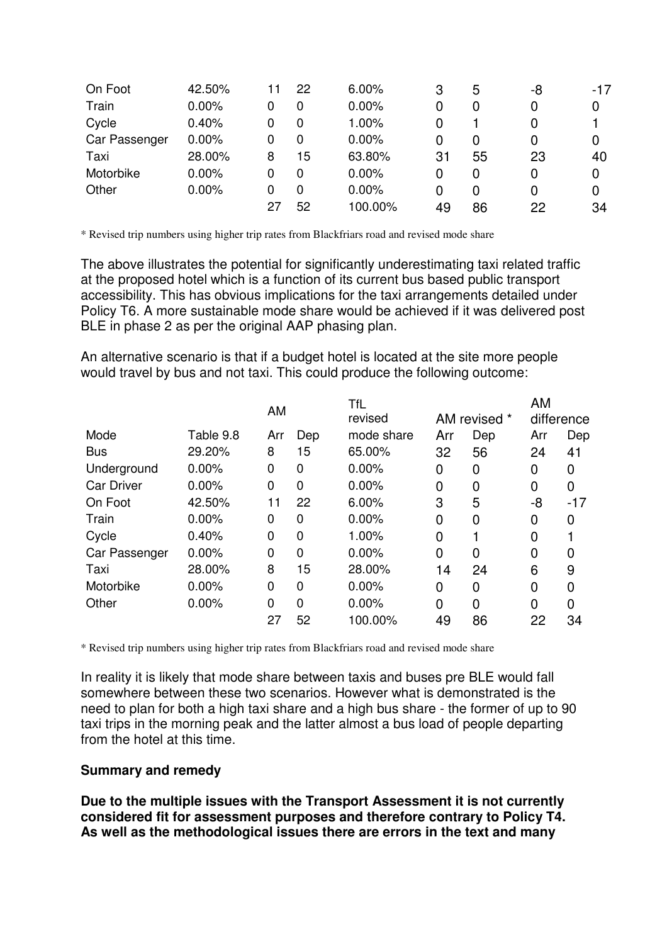| On Foot       | 42.50%   | 11 | 22 | 6.00%   | 3  | 5  | -8 | $-17$ |
|---------------|----------|----|----|---------|----|----|----|-------|
| Train         | $0.00\%$ | 0  | 0  | 0.00%   | 0  | 0  | 0  | 0     |
| Cycle         | 0.40%    | 0  | 0  | 1.00%   | 0  |    | 0  |       |
| Car Passenger | $0.00\%$ | 0  | 0  | 0.00%   | 0  | 0  | 0  | 0     |
| Taxi          | 28.00%   | 8  | 15 | 63.80%  | 31 | 55 | 23 | 40    |
| Motorbike     | $0.00\%$ | 0  | 0  | 0.00%   | 0  | 0  | 0  | 0     |
| Other         | $0.00\%$ | 0  | 0  | 0.00%   | 0  | 0  | 0  | 0     |
|               |          | 27 | 52 | 100.00% | 49 | 86 | 22 | 34    |

\* Revised trip numbers using higher trip rates from Blackfriars road and revised mode share

The above illustrates the potential for significantly underestimating taxi related traffic at the proposed hotel which is a function of its current bus based public transport accessibility. This has obvious implications for the taxi arrangements detailed under Policy T6. A more sustainable mode share would be achieved if it was delivered post BLE in phase 2 as per the original AAP phasing plan.

An alternative scenario is that if a budget hotel is located at the site more people would travel by bus and not taxi. This could produce the following outcome:

|                   |           | AM          |          | <b>TfL</b> |     |              | AM  |            |
|-------------------|-----------|-------------|----------|------------|-----|--------------|-----|------------|
|                   |           |             |          | revised    |     | AM revised * |     | difference |
| Mode              | Table 9.8 | Arr         | Dep      | mode share | Arr | Dep          | Arr | Dep        |
| <b>Bus</b>        | 29.20%    | 8           | 15       | 65.00%     | 32  | 56           | 24  | 41         |
| Underground       | 0.00%     | 0           | 0        | 0.00%      | 0   | 0            | 0   | 0          |
| <b>Car Driver</b> | 0.00%     | 0           | $\Omega$ | 0.00%      | 0   | 0            | 0   | 0          |
| On Foot           | 42.50%    | 11          | 22       | 6.00%      | 3   | 5            | -8  | $-17$      |
| Train             | 0.00%     | 0           | 0        | 0.00%      | 0   | 0            | 0   | 0          |
| Cycle             | 0.40%     | $\mathbf 0$ | $\Omega$ | 1.00%      | 0   |              | 0   |            |
| Car Passenger     | 0.00%     | $\Omega$    | 0        | 0.00%      | 0   | 0            | 0   | 0          |
| Taxi              | 28.00%    | 8           | 15       | 28.00%     | 14  | 24           | 6   | 9          |
| Motorbike         | 0.00%     | 0           | $\Omega$ | 0.00%      | 0   | 0            | 0   | 0          |
| Other             | 0.00%     | $\Omega$    | 0        | 0.00%      | 0   | 0            | 0   | 0          |
|                   |           | 27          | 52       | 100.00%    | 49  | 86           | 22  | 34         |
|                   |           |             |          |            |     |              |     |            |

\* Revised trip numbers using higher trip rates from Blackfriars road and revised mode share

In reality it is likely that mode share between taxis and buses pre BLE would fall somewhere between these two scenarios. However what is demonstrated is the need to plan for both a high taxi share and a high bus share - the former of up to 90 taxi trips in the morning peak and the latter almost a bus load of people departing from the hotel at this time.

# **Summary and remedy**

**Due to the multiple issues with the Transport Assessment it is not currently considered fit for assessment purposes and therefore contrary to Policy T4. As well as the methodological issues there are errors in the text and many**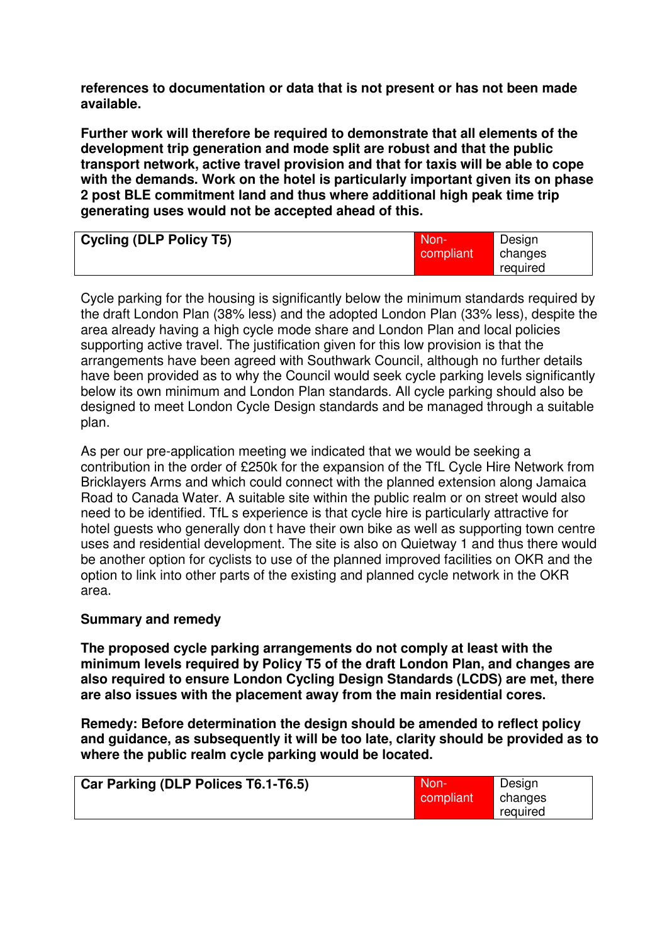**references to documentation or data that is not present or has not been made available.** 

**Further work will therefore be required to demonstrate that all elements of the development trip generation and mode split are robust and that the public transport network, active travel provision and that for taxis will be able to cope with the demands. Work on the hotel is particularly important given its on phase 2 post BLE commitment land and thus where additional high peak time trip generating uses would not be accepted ahead of this.** 

| <b>Cycling (DLP Policy T5)</b> | Non-<br>compliant | Design<br>changes |
|--------------------------------|-------------------|-------------------|
|                                |                   | reguired          |

Cycle parking for the housing is significantly below the minimum standards required by the draft London Plan (38% less) and the adopted London Plan (33% less), despite the area already having a high cycle mode share and London Plan and local policies supporting active travel. The justification given for this low provision is that the arrangements have been agreed with Southwark Council, although no further details have been provided as to why the Council would seek cycle parking levels significantly below its own minimum and London Plan standards. All cycle parking should also be designed to meet London Cycle Design standards and be managed through a suitable plan.

As per our pre-application meeting we indicated that we would be seeking a contribution in the order of £250k for the expansion of the TfL Cycle Hire Network from Bricklayers Arms and which could connect with the planned extension along Jamaica Road to Canada Water. A suitable site within the public realm or on street would also need to be identified. TfLís experience is that cycle hire is particularly attractive for hotel guests who generally donít have their own bike as well as supporting town centre uses and residential development. The site is also on Quietway 1 and thus there would be another option for cyclists to use of the planned improved facilities on OKR and the option to link into other parts of the existing and planned cycle network in the OKR area.

# **Summary and remedy**

**The proposed cycle parking arrangements do not comply at least with the minimum levels required by Policy T5 of the draft London Plan, and changes are also required to ensure London Cycling Design Standards (LCDS) are met, there are also issues with the placement away from the main residential cores.** 

**Remedy: Before determination the design should be amended to reflect policy and guidance, as subsequently it will be too late, clarity should be provided as to where the public realm cycle parking would be located.** 

| Car Parking (DLP Polices T6.1-T6.5) | Mon-'     | Design   |
|-------------------------------------|-----------|----------|
|                                     | compliant | changes  |
|                                     |           | required |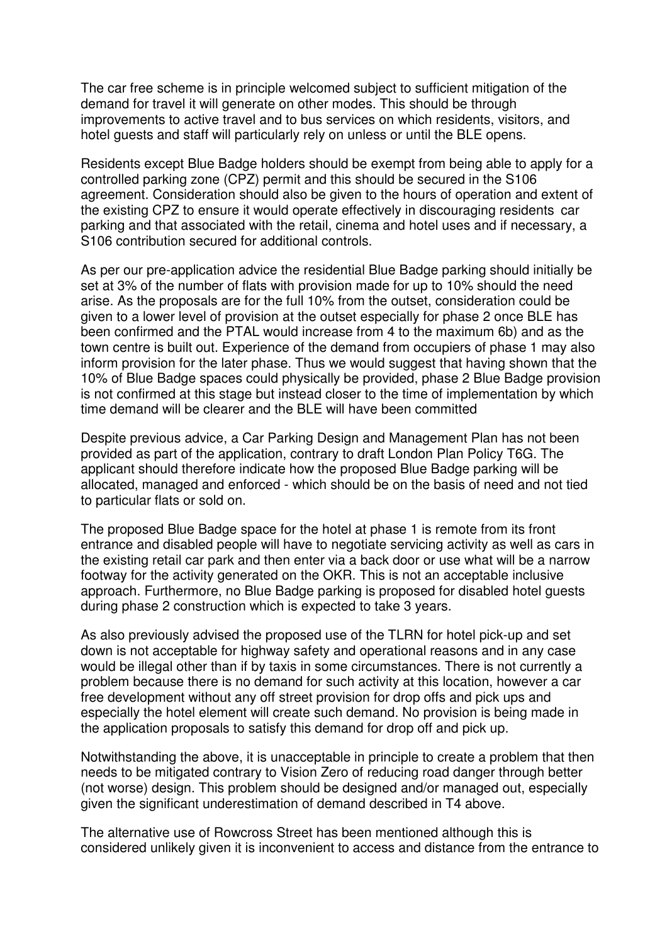The car free scheme is in principle welcomed subject to sufficient mitigation of the demand for travel it will generate on other modes. This should be through improvements to active travel and to bus services on which residents, visitors, and hotel guests and staff will particularly rely on unless or until the BLE opens.

Residents except Blue Badge holders should be exempt from being able to apply for a controlled parking zone (CPZ) permit and this should be secured in the S106 agreement. Consideration should also be given to the hours of operation and extent of the existing CPZ to ensure it would operate effectively in discouraging residentsí car parking and that associated with the retail, cinema and hotel uses and if necessary, a S106 contribution secured for additional controls.

As per our pre-application advice the residential Blue Badge parking should initially be set at 3% of the number of flats with provision made for up to 10% should the need arise. As the proposals are for the full 10% from the outset, consideration could be given to a lower level of provision at the outset especially for phase 2 once BLE has been confirmed and the PTAL would increase from 4 to the maximum 6b) and as the town centre is built out. Experience of the demand from occupiers of phase 1 may also inform provision for the later phase. Thus we would suggest that having shown that the 10% of Blue Badge spaces could physically be provided, phase 2 Blue Badge provision is not confirmed at this stage but instead closer to the time of implementation by which time demand will be clearer and the BLE will have been committed

Despite previous advice, a Car Parking Design and Management Plan has not been provided as part of the application, contrary to draft London Plan Policy T6G. The applicant should therefore indicate how the proposed Blue Badge parking will be allocated, managed and enforced - which should be on the basis of need and not tied to particular flats or sold on.

The proposed Blue Badge space for the hotel at phase 1 is remote from its front entrance and disabled people will have to negotiate servicing activity as well as cars in the existing retail car park and then enter via a back door or use what will be a narrow footway for the activity generated on the OKR. This is not an acceptable inclusive approach. Furthermore, no Blue Badge parking is proposed for disabled hotel guests during phase 2 construction which is expected to take 3 years.

As also previously advised the proposed use of the TLRN for hotel pick-up and set down is not acceptable for highway safety and operational reasons and in any case would be illegal other than if by taxis in some circumstances. There is not currently a problem because there is no demand for such activity at this location, however a car free development without any off street provision for drop offs and pick ups and especially the hotel element will create such demand. No provision is being made in the application proposals to satisfy this demand for drop off and pick up.

Notwithstanding the above, it is unacceptable in principle to create a problem that then needs to be mitigated contrary to Vision Zero of reducing road danger through better (not worse) design. This problem should be designed and/or managed out, especially given the significant underestimation of demand described in T4 above.

The alternative use of Rowcross Street has been mentioned although this is considered unlikely given it is inconvenient to access and distance from the entrance to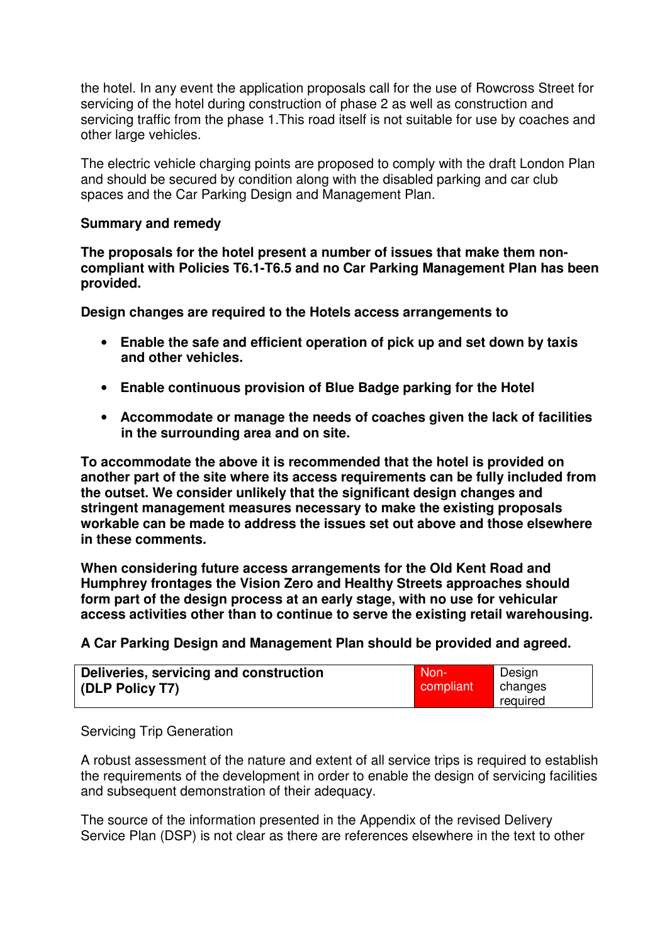the hotel. In any event the application proposals call for the use of Rowcross Street for servicing of the hotel during construction of phase 2 as well as construction and servicing traffic from the phase 1.This road itself is not suitable for use by coaches and other large vehicles.

The electric vehicle charging points are proposed to comply with the draft London Plan and should be secured by condition along with the disabled parking and car club spaces and the Car Parking Design and Management Plan.

## **Summary and remedy**

**The proposals for the hotel present a number of issues that make them noncompliant with Policies T6.1-T6.5 and no Car Parking Management Plan has been provided.** 

**Design changes are required to the Hotels access arrangements to** 

- **Enable the safe and efficient operation of pick up and set down by taxis and other vehicles.**
- **Enable continuous provision of Blue Badge parking for the Hotel**
- **Accommodate or manage the needs of coaches given the lack of facilities in the surrounding area and on site.**

**To accommodate the above it is recommended that the hotel is provided on another part of the site where its access requirements can be fully included from the outset. We consider unlikely that the significant design changes and stringent management measures necessary to make the existing proposals workable can be made to address the issues set out above and those elsewhere in these comments.** 

**When considering future access arrangements for the Old Kent Road and Humphrey frontages the Vision Zero and Healthy Streets approaches should form part of the design process at an early stage, with no use for vehicular access activities other than to continue to serve the existing retail warehousing.** 

**A Car Parking Design and Management Plan should be provided and agreed.** 

| Deliveries, servicing and construction | Mon-       | Design   |
|----------------------------------------|------------|----------|
| (DLP Policy T7)                        | compliant' | changes  |
|                                        |            | reguired |

### Servicing Trip Generation

A robust assessment of the nature and extent of all service trips is required to establish the requirements of the development in order to enable the design of servicing facilities and subsequent demonstration of their adequacy.

The source of the information presented in the Appendix of the revised Delivery Service Plan (DSP) is not clear as there are references elsewhere in the text to other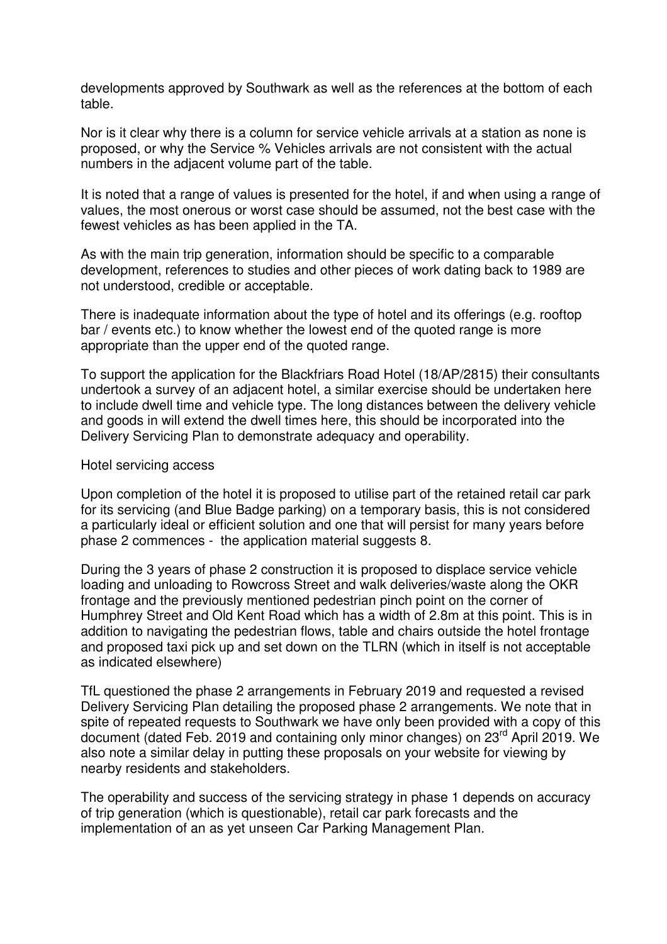developments approved by Southwark as well as the references at the bottom of each table.

Nor is it clear why there is a column for service vehicle arrivals at a station as none is proposed, or why the Service % Vehicles arrivals are not consistent with the actual numbers in the adjacent volume part of the table.

It is noted that a range of values is presented for the hotel, if and when using a range of values, the most onerous or worst case should be assumed, not the best case with the fewest vehicles as has been applied in the TA.

As with the main trip generation, information should be specific to a comparable development, references to studies and other pieces of work dating back to 1989 are not understood, credible or acceptable.

There is inadequate information about the type of hotel and its offerings (e.g. rooftop bar / events etc.) to know whether the lowest end of the quoted range is more appropriate than the upper end of the quoted range.

To support the application for the Blackfriars Road Hotel (18/AP/2815) their consultants undertook a survey of an adjacent hotel, a similar exercise should be undertaken here to include dwell time and vehicle type. The long distances between the delivery vehicle and goods in will extend the dwell times here, this should be incorporated into the Delivery Servicing Plan to demonstrate adequacy and operability.

### Hotel servicing access

Upon completion of the hotel it is proposed to utilise part of the retained retail car park for its servicing (and Blue Badge parking) on a temporary basis, this is not considered a particularly ideal or efficient solution and one that will persist for many years before phase 2 commences - the application material suggests 8.

During the 3 years of phase 2 construction it is proposed to displace service vehicle loading and unloading to Rowcross Street and walk deliveries/waste along the OKR frontage and the previously mentioned pedestrian pinch point on the corner of Humphrey Street and Old Kent Road which has a width of 2.8m at this point. This is in addition to navigating the pedestrian flows, table and chairs outside the hotel frontage and proposed taxi pick up and set down on the TLRN (which in itself is not acceptable as indicated elsewhere)

TfL questioned the phase 2 arrangements in February 2019 and requested a revised Delivery Servicing Plan detailing the proposed phase 2 arrangements. We note that in spite of repeated requests to Southwark we have only been provided with a copy of this document (dated Feb. 2019 and containing only minor changes) on 23rd April 2019. We also note a similar delay in putting these proposals on your website for viewing by nearby residents and stakeholders.

The operability and success of the servicing strategy in phase 1 depends on accuracy of trip generation (which is questionable), retail car park forecasts and the implementation of an as yet unseen Car Parking Management Plan.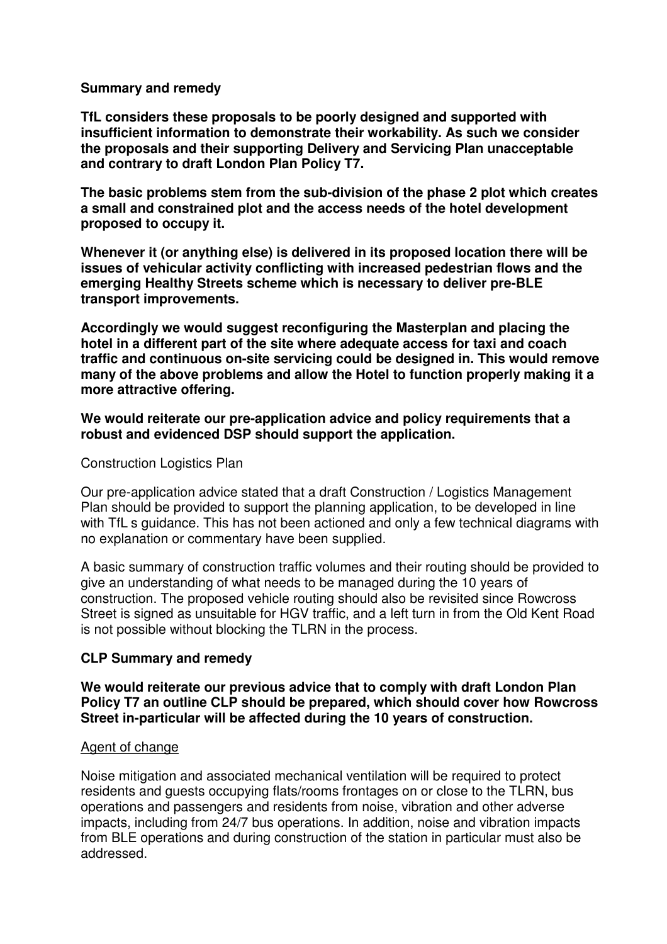# **Summary and remedy**

**TfL considers these proposals to be poorly designed and supported with insufficient information to demonstrate their workability. As such we consider the proposals and their supporting Delivery and Servicing Plan unacceptable and contrary to draft London Plan Policy T7.** 

**The basic problems stem from the sub-division of the phase 2 plot which creates a small and constrained plot and the access needs of the hotel development proposed to occupy it.** 

**Whenever it (or anything else) is delivered in its proposed location there will be issues of vehicular activity conflicting with increased pedestrian flows and the emerging Healthy Streets scheme which is necessary to deliver pre-BLE transport improvements.** 

**Accordingly we would suggest reconfiguring the Masterplan and placing the hotel in a different part of the site where adequate access for taxi and coach traffic and continuous on-site servicing could be designed in. This would remove many of the above problems and allow the Hotel to function properly making it a more attractive offering.** 

**We would reiterate our pre-application advice and policy requirements that a robust and evidenced DSP should support the application.** 

### Construction Logistics Plan

Our pre-application advice stated that a draft Construction / Logistics Management Plan should be provided to support the planning application, to be developed in line with TfLIs guidance. This has not been actioned and only a few technical diagrams with no explanation or commentary have been supplied.

A basic summary of construction traffic volumes and their routing should be provided to give an understanding of what needs to be managed during the 10 years of construction. The proposed vehicle routing should also be revisited since Rowcross Street is signed as unsuitable for HGV traffic, and a left turn in from the Old Kent Road is not possible without blocking the TLRN in the process.

# **CLP Summary and remedy**

**We would reiterate our previous advice that to comply with draft London Plan Policy T7 an outline CLP should be prepared, which should cover how Rowcross Street in-particular will be affected during the 10 years of construction.** 

# Agent of change

Noise mitigation and associated mechanical ventilation will be required to protect residents and guests occupying flats/rooms frontages on or close to the TLRN, bus operations and passengers and residents from noise, vibration and other adverse impacts, including from 24/7 bus operations. In addition, noise and vibration impacts from BLE operations and during construction of the station in particular must also be addressed.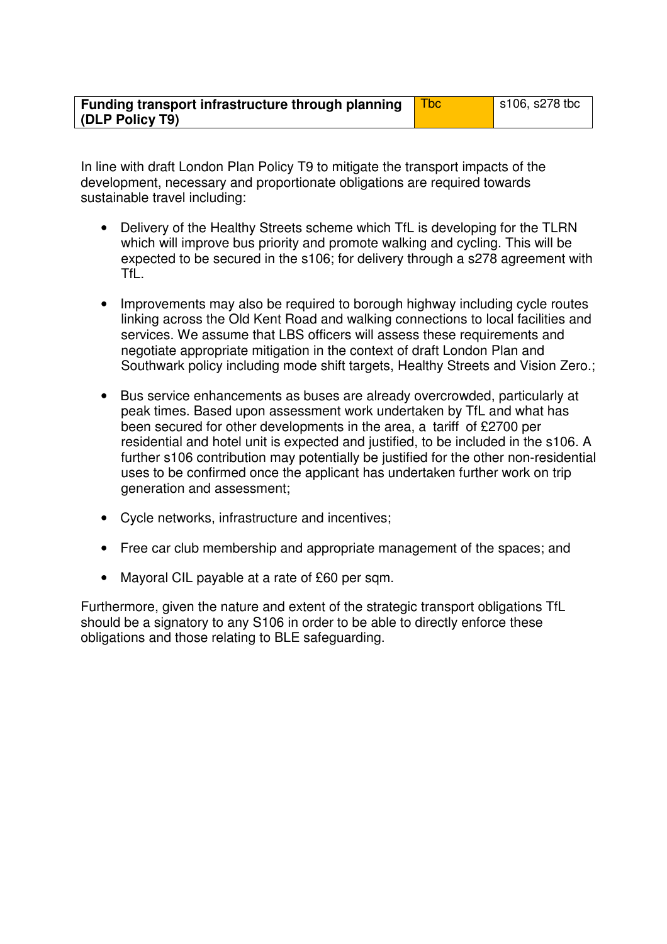| Funding transport infrastructure through planning | $\vert$ s106, s278 tbc |
|---------------------------------------------------|------------------------|
| (DLP Policy T9)                                   |                        |

In line with draft London Plan Policy T9 to mitigate the transport impacts of the development, necessary and proportionate obligations are required towards sustainable travel including:

- Delivery of the Healthy Streets scheme which TfL is developing for the TLRN which will improve bus priority and promote walking and cycling. This will be expected to be secured in the s106; for delivery through a s278 agreement with TfL.
- Improvements may also be required to borough highway including cycle routes linking across the Old Kent Road and walking connections to local facilities and services. We assume that LBS officers will assess these requirements and negotiate appropriate mitigation in the context of draft London Plan and Southwark policy including mode shift targets, Healthy Streets and Vision Zero.;
- Bus service enhancements as buses are already overcrowded, particularly at peak times. Based upon assessment work undertaken by TfL and what has been secured for other developments in the area, a litariffl of £2700 per residential and hotel unit is expected and justified, to be included in the s106. A further s106 contribution may potentially be justified for the other non-residential uses to be confirmed once the applicant has undertaken further work on trip generation and assessment;
- Cycle networks, infrastructure and incentives;
- Free car club membership and appropriate management of the spaces; and
- Mayoral CIL payable at a rate of £60 per sqm.

Furthermore, given the nature and extent of the strategic transport obligations TfL should be a signatory to any S106 in order to be able to directly enforce these obligations and those relating to BLE safeguarding.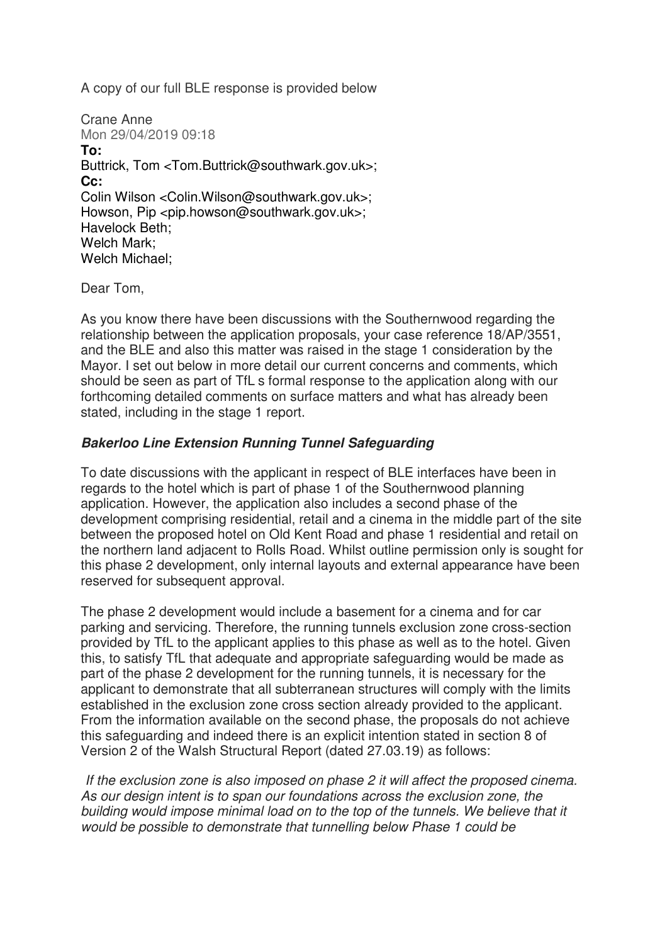A copy of our full BLE response is provided below

```
Crane Anne 
Mon 29/04/2019 09:18 
To:
Buttrick, Tom <Tom.Buttrick@southwark.gov.uk>; 
Cc:
Colin Wilson <Colin.Wilson@southwark.gov.uk>; 
Howson, Pip <pip.howson@southwark.gov.uk>;
Havelock Beth; 
Welch Mark; 
Welch Michael;
```
Dear Tom,

As you know there have been discussions with the Southernwood regarding the relationship between the application proposals, your case reference 18/AP/3551, and the BLE and also this matter was raised in the stage 1 consideration by the Mayor. I set out below in more detail our current concerns and comments, which should be seen as part of TfLís formal response to the application along with our forthcoming detailed comments on surface matters and what has already been stated, including in the stage 1 report.

# *Bakerloo Line Extension Running Tunnel Safeguarding*

To date discussions with the applicant in respect of BLE interfaces have been in regards to the hotel which is part of phase 1 of the Southernwood planning application. However, the application also includes a second phase of the development comprising residential, retail and a cinema in the middle part of the site between the proposed hotel on Old Kent Road and phase 1 residential and retail on the northern land adjacent to Rolls Road. Whilst outline permission only is sought for this phase 2 development, only internal layouts and external appearance have been reserved for subsequent approval.

The phase 2 development would include a basement for a cinema and for car parking and servicing. Therefore, the running tunnels exclusion zone cross-section provided by TfL to the applicant applies to this phase as well as to the hotel. Given this, to satisfy TfL that adequate and appropriate safeguarding would be made as part of the phase 2 development for the running tunnels, it is necessary for the applicant to demonstrate that all subterranean structures will comply with the limits established in the exclusion zone cross section already provided to the applicant. From the information available on the second phase, the proposals do not achieve this safeguarding and indeed there is an explicit intention stated in section 8 of Version 2 of the Walsh Structural Report (dated 27.03.19) as follows:

*ìIf the exclusion zone is also imposed on phase 2 it will affect the proposed cinema. As our design intent is to span our foundations across the exclusion zone, the building would impose minimal load on to the top of the tunnels. We believe that it would be possible to demonstrate that tunnelling below Phase 1 could be*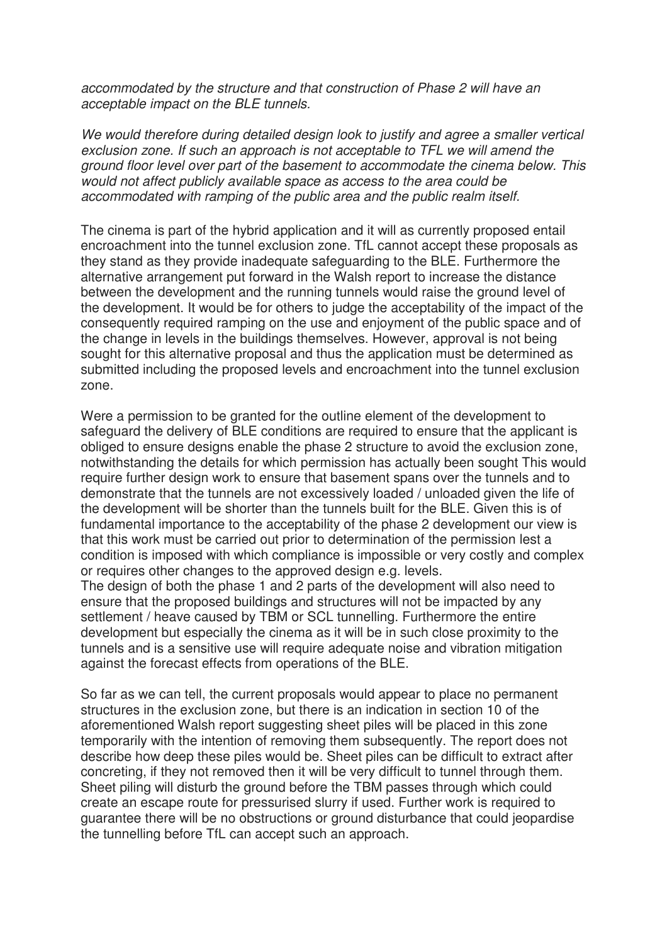*accommodated by the structure and that construction of Phase 2 will have an acceptable impact on the BLE tunnels.*

*We would therefore during detailed design look to justify and agree a smaller vertical exclusion zone. If such an approach is not acceptable to TFL we will amend the ground floor level over part of the basement to accommodate the cinema below. This would not affect publicly available space as access to the area could be accommodated with ramping of the public area and the public realm itself.î*

The cinema is part of the hybrid application and it will as currently proposed entail encroachment into the tunnel exclusion zone. TfL cannot accept these proposals as they stand as they provide inadequate safeguarding to the BLE. Furthermore the alternative arrangement put forward in the Walsh report to increase the distance between the development and the running tunnels would raise the ground level of the development. It would be for others to judge the acceptability of the impact of the consequently required ramping on the use and enjoyment of the public space and of the change in levels in the buildings themselves. However, approval is not being sought for this alternative proposal and thus the application must be determined as submitted including the proposed levels and encroachment into the tunnel exclusion zone.

Were a permission to be granted for the outline element of the development to safeguard the delivery of BLE conditions are required to ensure that the applicant is obliged to ensure designs enable the phase 2 structure to avoid the exclusion zone, notwithstanding the details for which permission has actually been sought This would require further design work to ensure that basement spans over the tunnels and to demonstrate that the tunnels are not excessively loaded / unloaded given the life of the development will be shorter than the tunnels built for the BLE. Given this is of fundamental importance to the acceptability of the phase 2 development our view is that this work must be carried out prior to determination of the permission lest a condition is imposed with which compliance is impossible or very costly and complex or requires other changes to the approved design e.g. levels.

The design of both the phase 1 and 2 parts of the development will also need to ensure that the proposed buildings and structures will not be impacted by any settlement / heave caused by TBM or SCL tunnelling. Furthermore the entire development but especially the cinema as it will be in such close proximity to the tunnels and is a sensitive use will require adequate noise and vibration mitigation against the forecast effects from operations of the BLE.

So far as we can tell, the current proposals would appear to place no permanent structures in the exclusion zone, but there is an indication in section 10 of the aforementioned Walsh report suggesting sheet piles will be placed in this zone temporarily with the intention of removing them subsequently. The report does not describe how deep these piles would be. Sheet piles can be difficult to extract after concreting, if they not removed then it will be very difficult to tunnel through them. Sheet piling will disturb the ground before the TBM passes through which could create an escape route for pressurised slurry if used. Further work is required to guarantee there will be no obstructions or ground disturbance that could jeopardise the tunnelling before TfL can accept such an approach.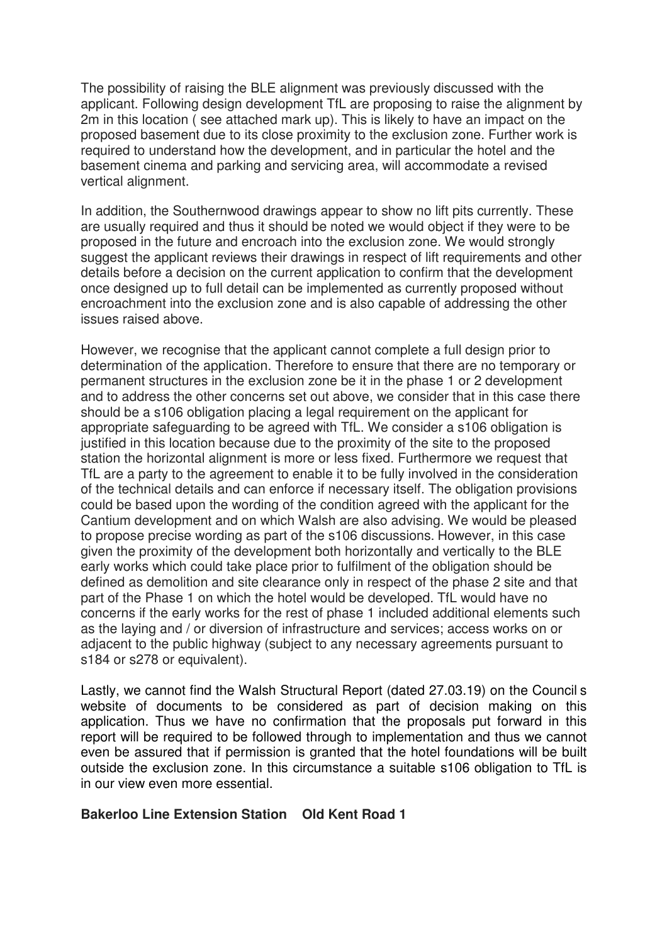The possibility of raising the BLE alignment was previously discussed with the applicant. Following design development TfL are proposing to raise the alignment by 2m in this location ( see attached mark up). This is likely to have an impact on the proposed basement due to its close proximity to the exclusion zone. Further work is required to understand how the development, and in particular the hotel and the basement cinema and parking and servicing area, will accommodate a revised vertical alignment.

In addition, the Southernwood drawings appear to show no lift pits currently. These are usually required and thus it should be noted we would object if they were to be proposed in the future and encroach into the exclusion zone. We would strongly suggest the applicant reviews their drawings in respect of lift requirements and other details before a decision on the current application to confirm that the development once designed up to full detail can be implemented as currently proposed without encroachment into the exclusion zone and is also capable of addressing the other issues raised above.

However, we recognise that the applicant cannot complete a full design prior to determination of the application. Therefore to ensure that there are no temporary or permanent structures in the exclusion zone be it in the phase 1 or 2 development and to address the other concerns set out above, we consider that in this case there should be a s106 obligation placing a legal requirement on the applicant for appropriate safeguarding to be agreed with TfL. We consider a s106 obligation is justified in this location because due to the proximity of the site to the proposed station the horizontal alignment is more or less fixed. Furthermore we request that TfL are a party to the agreement to enable it to be fully involved in the consideration of the technical details and can enforce if necessary itself. The obligation provisions could be based upon the wording of the condition agreed with the applicant for the Cantium development and on which Walsh are also advising. We would be pleased to propose precise wording as part of the s106 discussions. However, in this case given the proximity of the development both horizontally and vertically to the BLE early works which could take place prior to fulfilment of the obligation should be defined as demolition and site clearance only in respect of the phase 2 site and that part of the Phase 1 on which the hotel would be developed. TfL would have no concerns if the early works for the rest of phase 1 included additional elements such as the laying and / or diversion of infrastructure and services; access works on or adjacent to the public highway (subject to any necessary agreements pursuant to s184 or s278 or equivalent).

Lastly, we cannot find the Walsh Structural Report (dated 27.03.19) on the Councilís website of documents to be considered as part of decision making on this application. Thus we have no confirmation that the proposals put forward in this report will be required to be followed through to implementation and thus we cannot even be assured that if permission is granted that the hotel foundations will be built outside the exclusion zone. In this circumstance a suitable s106 obligation to TfL is in our view even more essential.

# **Bakerloo Line Extension Station ñ Old Kent Road 1**